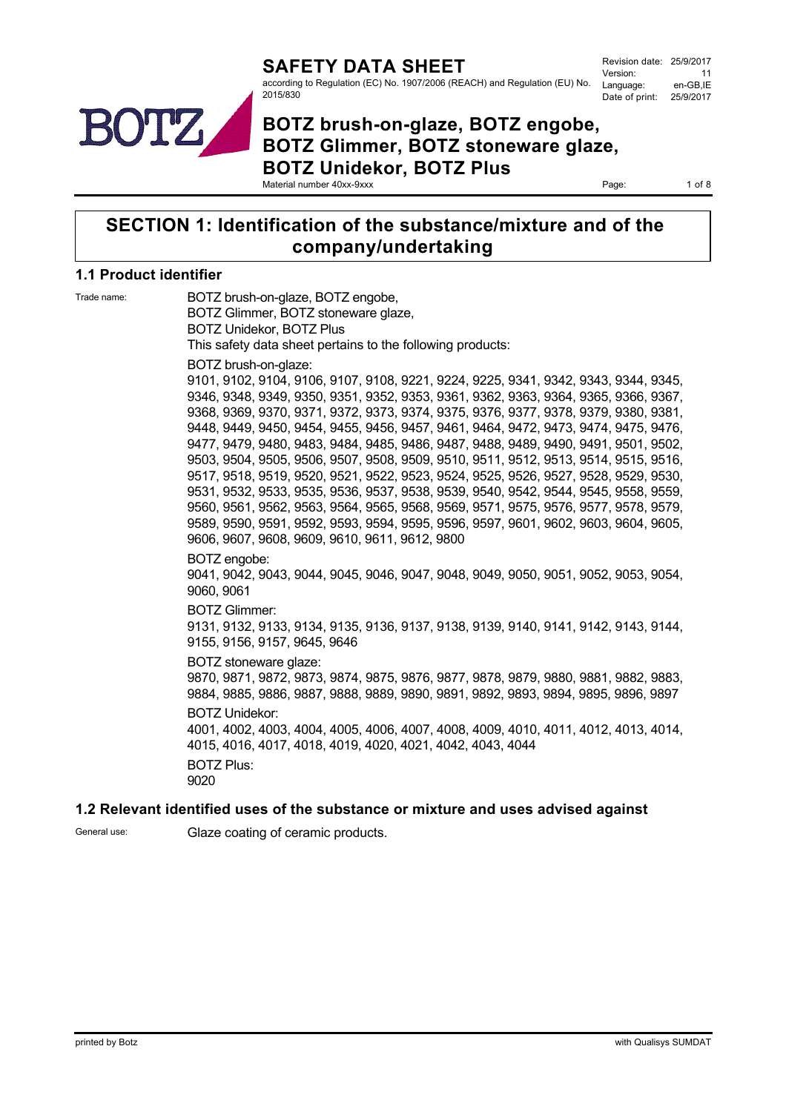

2015/830 **BOTZ brush-on-glaze, BOTZ engobe, BOTZ Glimmer, BOTZ stoneware glaze, BOTZ Unidekor, BOTZ Plus**

according to Regulation (EC) No. 1907/2006 (REACH) and Regulation (EU) No.

Material number 40xx-9xxx

## **SECTION 1: Identification of the substance/mixture and of the company/undertaking**

**SAFETY DATA SHEET**

#### **1.1 Product identifier**

Trade name: BOTZ brush-on-glaze, BOTZ engobe, BOTZ Glimmer, BOTZ stoneware glaze, BOTZ Unidekor, BOTZ Plus This safety data sheet pertains to the following products: BOTZ brush-on-glaze: 9101, 9102, 9104, 9106, 9107, 9108, 9221, 9224, 9225, 9341, 9342, 9343, 9344, 9345, 9346, 9348, 9349, 9350, 9351, 9352, 9353, 9361, 9362, 9363, 9364, 9365, 9366, 9367, 9368, 9369, 9370, 9371, 9372, 9373, 9374, 9375, 9376, 9377, 9378, 9379, 9380, 9381, 9448, 9449, 9450, 9454, 9455, 9456, 9457, 9461, 9464, 9472, 9473, 9474, 9475, 9476, 9477, 9479, 9480, 9483, 9484, 9485, 9486, 9487, 9488, 9489, 9490, 9491, 9501, 9502, 9503, 9504, 9505, 9506, 9507, 9508, 9509, 9510, 9511, 9512, 9513, 9514, 9515, 9516, 9517, 9518, 9519, 9520, 9521, 9522, 9523, 9524, 9525, 9526, 9527, 9528, 9529, 9530, 9531, 9532, 9533, 9535, 9536, 9537, 9538, 9539, 9540, 9542, 9544, 9545, 9558, 9559, 9560, 9561, 9562, 9563, 9564, 9565, 9568, 9569, 9571, 9575, 9576, 9577, 9578, 9579, 9589, 9590, 9591, 9592, 9593, 9594, 9595, 9596, 9597, 9601, 9602, 9603, 9604, 9605, 9606, 9607, 9608, 9609, 9610, 9611, 9612, 9800 BOTZ engobe: 9041, 9042, 9043, 9044, 9045, 9046, 9047, 9048, 9049, 9050, 9051, 9052, 9053, 9054, 9060, 9061 BOTZ Glimmer: 9131, 9132, 9133, 9134, 9135, 9136, 9137, 9138, 9139, 9140, 9141, 9142, 9143, 9144, 9155, 9156, 9157, 9645, 9646 BOTZ stoneware glaze: 9870, 9871, 9872, 9873, 9874, 9875, 9876, 9877, 9878, 9879, 9880, 9881, 9882, 9883, 9884, 9885, 9886, 9887, 9888, 9889, 9890, 9891, 9892, 9893, 9894, 9895, 9896, 9897 BOTZ Unidekor: 4001, 4002, 4003, 4004, 4005, 4006, 4007, 4008, 4009, 4010, 4011, 4012, 4013, 4014, 4015, 4016, 4017, 4018, 4019, 4020, 4021, 4042, 4043, 4044 BOTZ Plus: 9020

#### **1.2 Relevant identified uses of the substance or mixture and uses advised against**

General use: Glaze coating of ceramic products.

Revision date: 25/9/2017 Version: 11<br>Language: en-GB IE Language: Date of print: 25/9/2017

Page: 1 of 8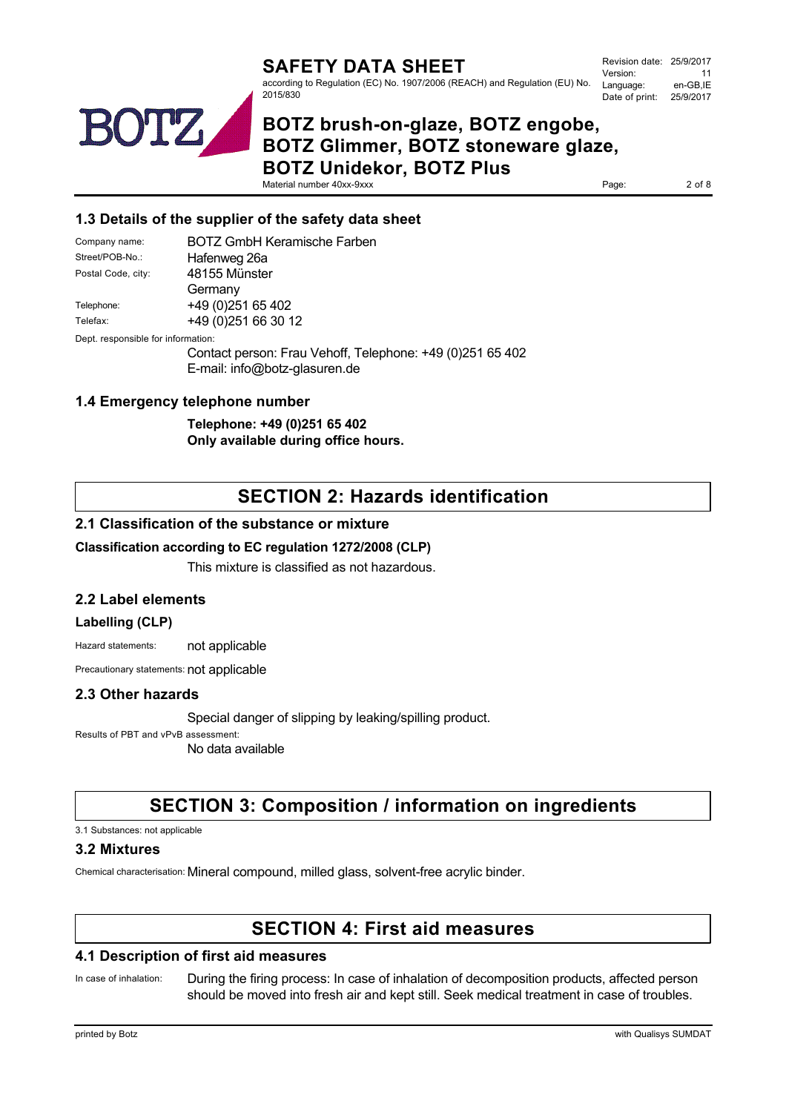according to Regulation (EC) No. 1907/2006 (REACH) and Regulation (EU) No. 2015/830

Revision date: 25/9/2017 Version: 11<br>Language: en-GB IE Language: Date of print: 25/9/2017

# **BOTZ brush-on-glaze, BOTZ engobe, BOTZ Glimmer, BOTZ stoneware glaze, BOTZ Unidekor, BOTZ Plus**

Material number 40xx-9xxx

#### **1.3 Details of the supplier of the safety data sheet**

Company name: BOTZ GmbH Keramische Farben Street/POB-No.: Hafenweg 26a Postal Code, city: 48155 Münster **Germany** Telephone: +49 (0) 251 65 402 Telefax: +49 (0) 251 66 30 12 Dept. responsible for information: Contact person: Frau Vehoff, Telephone: +49 (0)251 65 402

E-mail: info@botz-glasuren.de

#### **1.4 Emergency telephone number**

**Telephone: +49 (0)251 65 402 Only available during office hours.**

## **SECTION 2: Hazards identification**

#### **2.1 Classification of the substance or mixture**

#### **Classification according to EC regulation 1272/2008 (CLP)**

This mixture is classified as not hazardous.

#### **2.2 Label elements**

#### **Labelling (CLP)**

Hazard statements: not applicable

Precautionary statements: not applicable

#### **2.3 Other hazards**

Special danger of slipping by leaking/spilling product.

Results of PBT and vPvB assessment:

No data available

## **SECTION 3: Composition / information on ingredients**

3.1 Substances: not applicable

#### **3.2 Mixtures**

Chemical characterisation: Mineral compound, milled glass, solvent-free acrylic binder.

# **SECTION 4: First aid measures**

#### **4.1 Description of first aid measures**

In case of inhalation: During the firing process: In case of inhalation of decomposition products, affected person should be moved into fresh air and kept still. Seek medical treatment in case of troubles.

DTZ.

Page: 2 of 8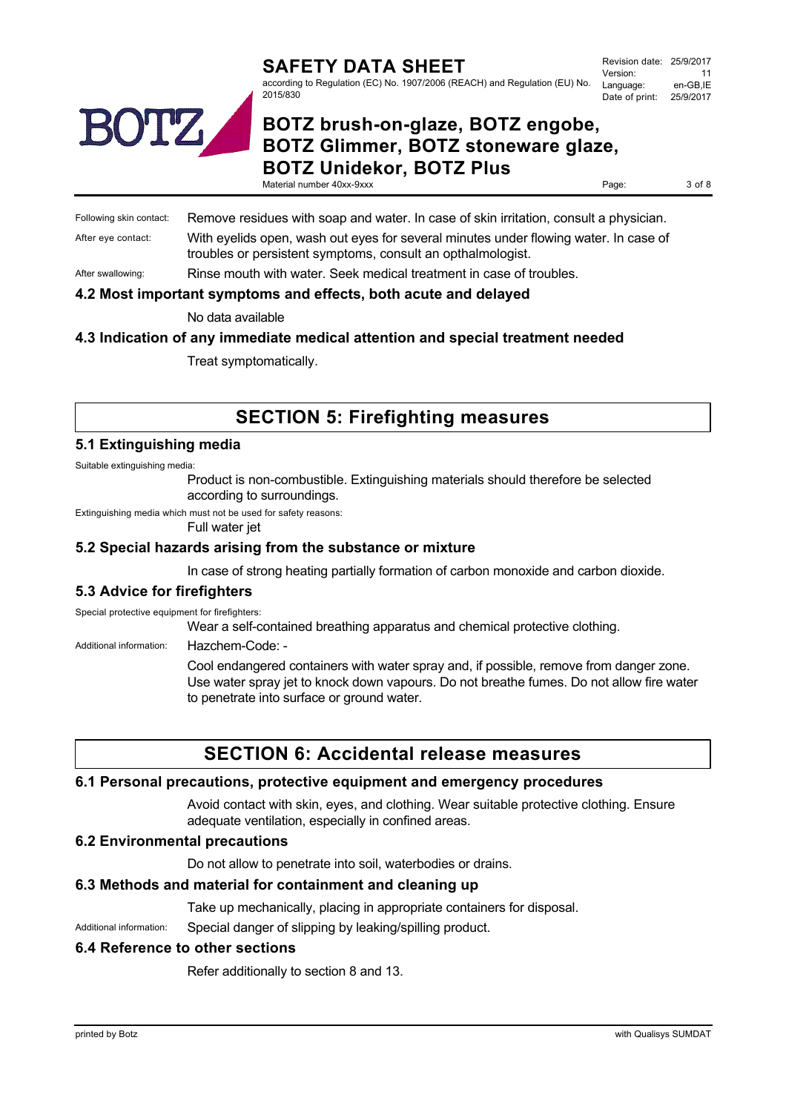according to Regulation (EC) No. 1907/2006 (REACH) and Regulation (EU) No. 2015/830

| Revision date: 25/9/2017 |           |
|--------------------------|-----------|
| Version:                 | 11        |
| Language:                | en-GB.IE  |
| Date of print:           | 25/9/2017 |

# **BOTZ brush-on-glaze, BOTZ engobe, BOTZ Glimmer, BOTZ stoneware glaze, BOTZ Unidekor, BOTZ Plus**

Material number 40xx-9xxx

Following skin contact: Remove residues with soap and water. In case of skin irritation, consult a physician. After eye contact: With eyelids open, wash out eyes for several minutes under flowing water. In case of troubles or persistent symptoms, consult an opthalmologist.

After swallowing: Rinse mouth with water. Seek medical treatment in case of troubles.

#### **4.2 Most important symptoms and effects, both acute and delayed**

No data available

#### **4.3 Indication of any immediate medical attention and special treatment needed**

Treat symptomatically.

**SECTION 5: Firefighting measures**

#### **5.1 Extinguishing media**

Suitable extinguishing media:

Product is non-combustible. Extinguishing materials should therefore be selected according to surroundings.

Extinguishing media which must not be used for safety reasons:

Full water jet

#### **5.2 Special hazards arising from the substance or mixture**

In case of strong heating partially formation of carbon monoxide and carbon dioxide.

#### **5.3 Advice for firefighters**

Special protective equipment for firefighters:

Wear a self-contained breathing apparatus and chemical protective clothing.

Additional information: Hazchem-Code: -

Cool endangered containers with water spray and, if possible, remove from danger zone. Use water spray jet to knock down vapours. Do not breathe fumes. Do not allow fire water to penetrate into surface or ground water.

## **SECTION 6: Accidental release measures**

#### **6.1 Personal precautions, protective equipment and emergency procedures**

Avoid contact with skin, eyes, and clothing. Wear suitable protective clothing. Ensure adequate ventilation, especially in confined areas.

#### **6.2 Environmental precautions**

Do not allow to penetrate into soil, waterbodies or drains.

#### **6.3 Methods and material for containment and cleaning up**

Take up mechanically, placing in appropriate containers for disposal.

Additional information: Special danger of slipping by leaking/spilling product.

#### **6.4 Reference to other sections**

Refer additionally to section 8 and 13.



Page: 3 of 8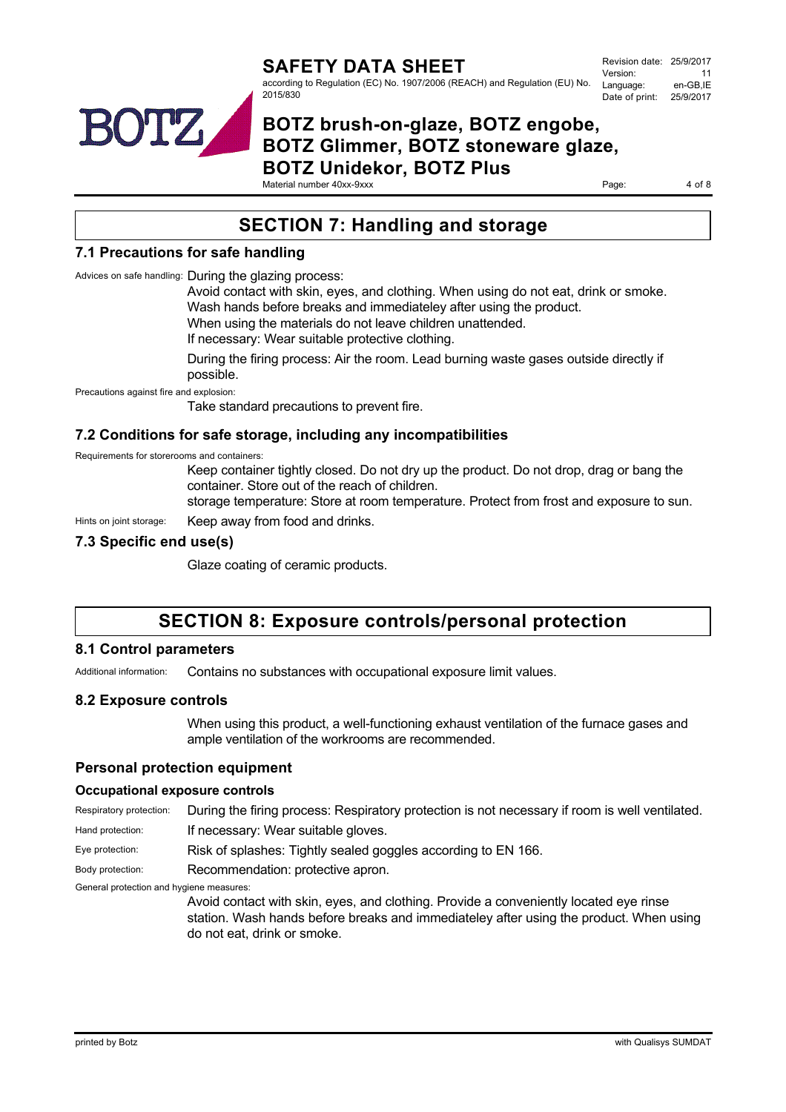according to Regulation (EC) No. 1907/2006 (REACH) and Regulation (EU) No. 2015/830

#### Revision date: 25/9/2017 Version: 11<br>Language: en-GB IE Language: Date of print: 25/9/2017

Page: 4 of 8

# **BOTZ brush-on-glaze, BOTZ engobe, BOTZ Glimmer, BOTZ stoneware glaze, BOTZ Unidekor, BOTZ Plus**

Material number 40xx-9xxx

# **SECTION 7: Handling and storage**

### **7.1 Precautions for safe handling**

Advices on safe handling: During the glazing process:

Avoid contact with skin, eyes, and clothing. When using do not eat, drink or smoke. Wash hands before breaks and immediateley after using the product.

When using the materials do not leave children unattended.

If necessary: Wear suitable protective clothing.

During the firing process: Air the room. Lead burning waste gases outside directly if possible.

Precautions against fire and explosion:

Take standard precautions to prevent fire.

#### **7.2 Conditions for safe storage, including any incompatibilities**

Requirements for storerooms and containers:

Keep container tightly closed. Do not dry up the product. Do not drop, drag or bang the container. Store out of the reach of children.

storage temperature: Store at room temperature. Protect from frost and exposure to sun.

Hints on joint storage: Keep away from food and drinks.

#### **7.3 Specific end use(s)**

Glaze coating of ceramic products.

## **SECTION 8: Exposure controls/personal protection**

#### **8.1 Control parameters**

Additional information: Contains no substances with occupational exposure limit values.

#### **8.2 Exposure controls**

When using this product, a well-functioning exhaust ventilation of the furnace gases and ample ventilation of the workrooms are recommended.

#### **Personal protection equipment**

#### **Occupational exposure controls**

Respiratory protection: During the firing process: Respiratory protection is not necessary if room is well ventilated.

Eye protection: Risk of splashes: Tightly sealed goggles according to EN 166.

Body protection: Recommendation: protective apron.

Hand protection: If necessary: Wear suitable gloves.

General protection and hygiene measures:

Avoid contact with skin, eyes, and clothing. Provide a conveniently located eye rinse station. Wash hands before breaks and immediateley after using the product. When using do not eat, drink or smoke.

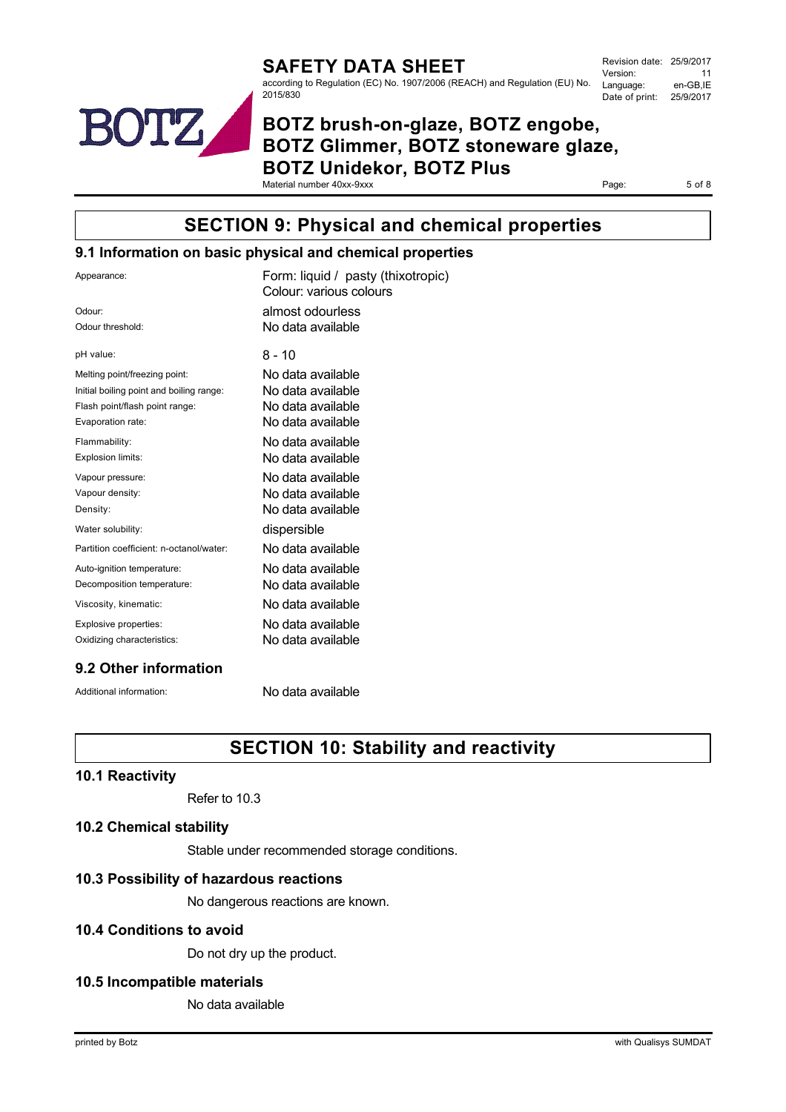

according to Regulation (EC) No. 1907/2006 (REACH) and Regulation (EU) No. 2015/830

Revision date: 25/9/2017 Version: 11<br>Language: en-GB.IE Language: Date of print: 25/9/2017

# **BOTZ brush-on-glaze, BOTZ engobe, BOTZ Glimmer, BOTZ stoneware glaze, BOTZ Unidekor, BOTZ Plus**

Material number 40xx-9xxx

Page: 5 of 8

# **SECTION 9: Physical and chemical properties**

#### **9.1 Information on basic physical and chemical properties**

| Appearance:<br>Odour <sup>-</sup><br>Odour threshold: | Form: liquid / pasty (thixotropic)<br>Colour: various colours<br>almost odourless<br>No data available |
|-------------------------------------------------------|--------------------------------------------------------------------------------------------------------|
| pH value:                                             | $8 - 10$                                                                                               |
| Melting point/freezing point:                         | No data available                                                                                      |
| Initial boiling point and boiling range:              | No data available                                                                                      |
| Flash point/flash point range:                        | No data available                                                                                      |
| Evaporation rate:                                     | No data available                                                                                      |
| Flammability:                                         | No data available                                                                                      |
| Explosion limits:                                     | No data available                                                                                      |
| Vapour pressure:                                      | No data available                                                                                      |
| Vapour density:                                       | No data available                                                                                      |
| Density:                                              | No data available                                                                                      |
| Water solubility:                                     | dispersible                                                                                            |
| Partition coefficient: n-octanol/water:               | No data available                                                                                      |
| Auto-ignition temperature:                            | No data available                                                                                      |
| Decomposition temperature:                            | No data available                                                                                      |
| Viscosity, kinematic:                                 | No data available                                                                                      |
| Explosive properties:                                 | No data available                                                                                      |
| Oxidizing characteristics:                            | No data available                                                                                      |
|                                                       |                                                                                                        |

#### **9.2 Other information**

Additional information: No data available

# **SECTION 10: Stability and reactivity**

#### **10.1 Reactivity**

Refer to 10.3

#### **10.2 Chemical stability**

Stable under recommended storage conditions.

#### **10.3 Possibility of hazardous reactions**

No dangerous reactions are known.

#### **10.4 Conditions to avoid**

Do not dry up the product.

#### **10.5 Incompatible materials**

No data available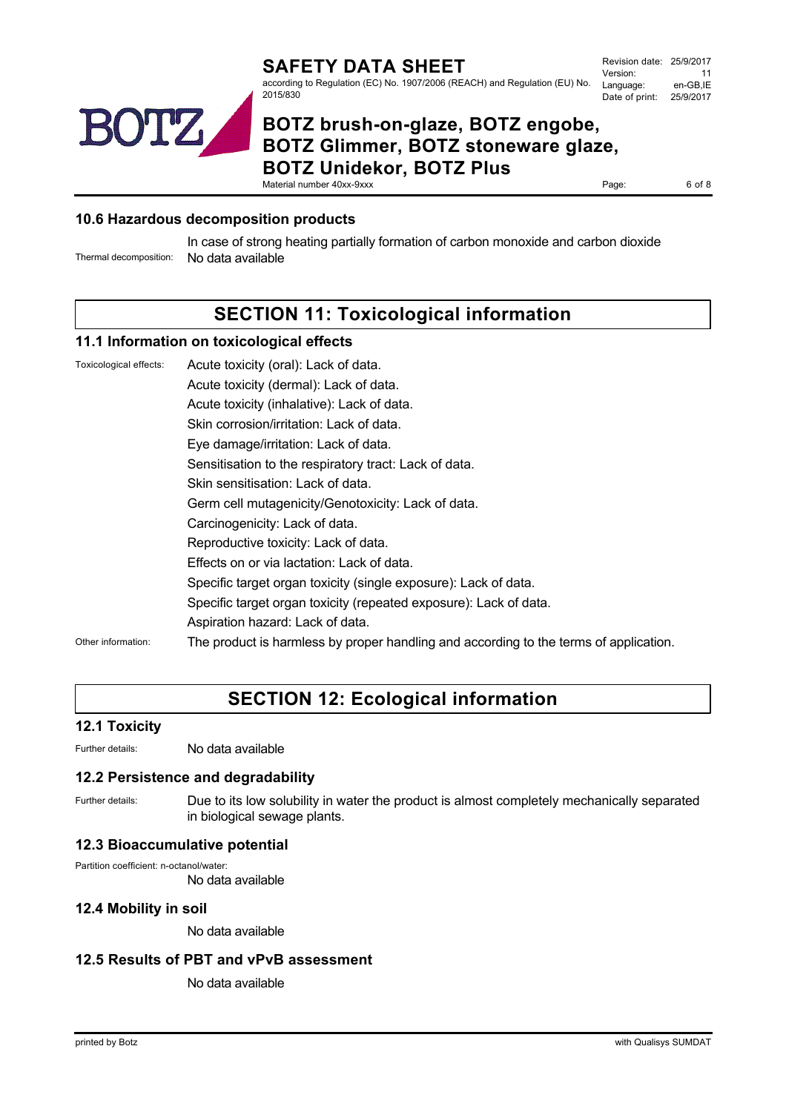

according to Regulation (EC) No. 1907/2006 (REACH) and Regulation (EU) No. 2015/830

| Revision date: 25/9/2017 |           |
|--------------------------|-----------|
| Version:                 | 11        |
| Language:                | en-GB.IE  |
| Date of print:           | 25/9/2017 |
|                          |           |

### **BOTZ brush-on-glaze, BOTZ engobe, BOTZ Glimmer, BOTZ stoneware glaze, BOTZ Unidekor, BOTZ Plus** Page: 6 of 8

Material number 40xx-9xxx

#### **10.6 Hazardous decomposition products**

In case of strong heating partially formation of carbon monoxide and carbon dioxide Thermal decomposition: No data available

# **SECTION 11: Toxicological information**

#### **11.1 Information on toxicological effects**

Toxicological effects: Acute toxicity (oral): Lack of data. Acute toxicity (dermal): Lack of data. Acute toxicity (inhalative): Lack of data. Skin corrosion/irritation: Lack of data. Eye damage/irritation: Lack of data. Sensitisation to the respiratory tract: Lack of data. Skin sensitisation: Lack of data. Germ cell mutagenicity/Genotoxicity: Lack of data. Carcinogenicity: Lack of data. Reproductive toxicity: Lack of data. Effects on or via lactation: Lack of data. Specific target organ toxicity (single exposure): Lack of data. Specific target organ toxicity (repeated exposure): Lack of data. Aspiration hazard: Lack of data. Other information: The product is harmless by proper handling and according to the terms of application.

# **SECTION 12: Ecological information**

#### **12.1 Toxicity**

Further details: No data available

#### **12.2 Persistence and degradability**

Further details: Due to its low solubility in water the product is almost completely mechanically separated in biological sewage plants.

#### **12.3 Bioaccumulative potential**

Partition coefficient: n-octanol/water:

No data available

#### **12.4 Mobility in soil**

No data available

#### **12.5 Results of PBT and vPvB assessment**

No data available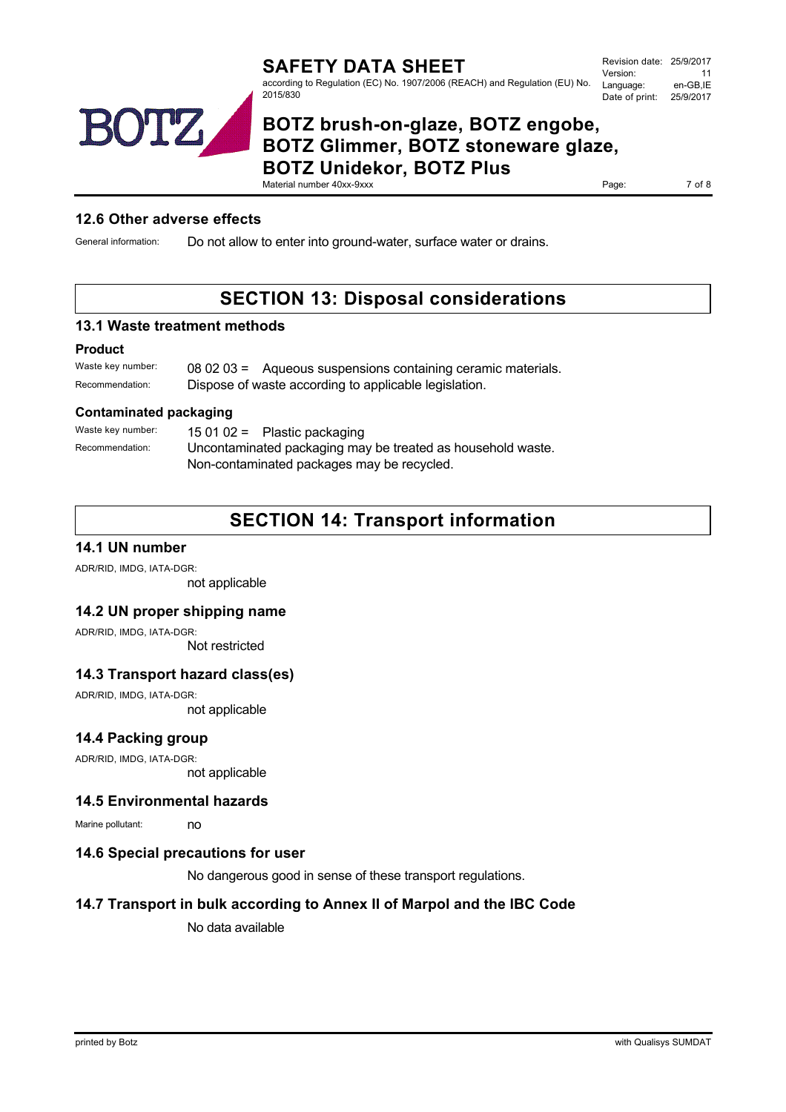ADR/RID, IMDG, IATA-DGR:

ADR/RID, IMDG, IATA-DGR:

#### **14.4 Packing group**

ADR/RID, IMDG, IATA-DGR:

not applicable

#### **14.5 Environmental hazards**

Marine pollutant: no

### **14.6 Special precautions for user**

No dangerous good in sense of these transport regulations.

### **14.7 Transport in bulk according to Annex II of Marpol and the IBC Code**

No data available

**SAFETY DATA SHEET** according to Regulation (EC) No. 1907/2006 (REACH) and Regulation (EU) No. 2015/830

# **BOTZ brush-on-glaze, BOTZ engobe, BOTZ Glimmer, BOTZ stoneware glaze, BOTZ Unidekor, BOTZ Plus**

Material number 40xx-9xxx

#### **12.6 Other adverse effects**

TZ.

General information: Do not allow to enter into ground-water, surface water or drains.

# **SECTION 13: Disposal considerations**

#### **13.1 Waste treatment methods**

#### **Product**

| Waste key number: | 08 02 03 = Aqueous suspensions containing ceramic materials. |
|-------------------|--------------------------------------------------------------|
| Recommendation:   | Dispose of waste according to applicable legislation.        |

#### **Contaminated packaging**

Waste key number: 15 01 02 = Plastic packaging Recommendation: Uncontaminated packaging may be treated as household waste. Non-contaminated packages may be recycled.

# **SECTION 14: Transport information**

# **14.1 UN number**

| not applicable |
|----------------|

### **14.2 UN proper shipping name**

### **14.3 Transport hazard class(es)**

Not restricted



not applicable

Revision date: 25/9/2017 Version: 11<br>Language: en-GB IE Language: Date of print: 25/9/2017

Page: 7 of 8